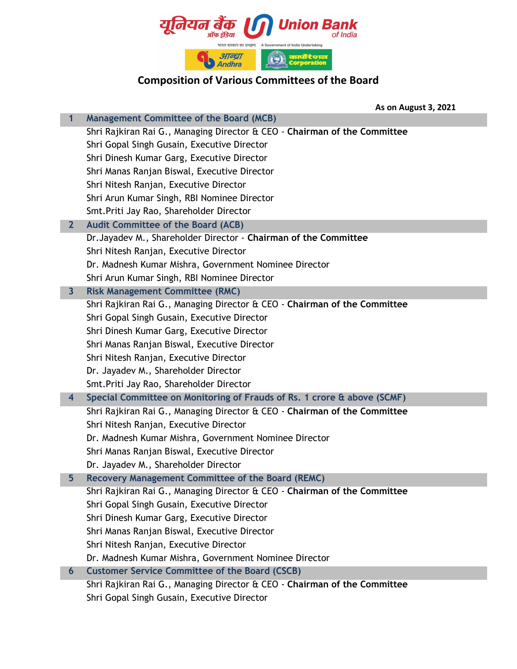

**As on August 3, 2021**

| 1              | <b>Management Committee of the Board (MCB)</b>                            |
|----------------|---------------------------------------------------------------------------|
|                | Shri Rajkiran Rai G., Managing Director & CEO - Chairman of the Committee |
|                | Shri Gopal Singh Gusain, Executive Director                               |
|                | Shri Dinesh Kumar Garg, Executive Director                                |
|                | Shri Manas Ranjan Biswal, Executive Director                              |
|                | Shri Nitesh Ranjan, Executive Director                                    |
|                | Shri Arun Kumar Singh, RBI Nominee Director                               |
|                | Smt. Priti Jay Rao, Shareholder Director                                  |
| 2 <sup>1</sup> | <b>Audit Committee of the Board (ACB)</b>                                 |
|                | Dr. Jayadev M., Shareholder Director - Chairman of the Committee          |
|                | Shri Nitesh Ranjan, Executive Director                                    |
|                | Dr. Madnesh Kumar Mishra, Government Nominee Director                     |
|                | Shri Arun Kumar Singh, RBI Nominee Director                               |
| $\mathbf{3}$   | <b>Risk Management Committee (RMC)</b>                                    |
|                | Shri Rajkiran Rai G., Managing Director & CEO - Chairman of the Committee |
|                | Shri Gopal Singh Gusain, Executive Director                               |
|                | Shri Dinesh Kumar Garg, Executive Director                                |
|                | Shri Manas Ranjan Biswal, Executive Director                              |
|                | Shri Nitesh Ranjan, Executive Director                                    |
|                | Dr. Jayadev M., Shareholder Director                                      |
|                | Smt. Priti Jay Rao, Shareholder Director                                  |
| 4              | Special Committee on Monitoring of Frauds of Rs. 1 crore & above (SCMF)   |
|                | Shri Rajkiran Rai G., Managing Director & CEO - Chairman of the Committee |
|                | Shri Nitesh Ranjan, Executive Director                                    |
|                | Dr. Madnesh Kumar Mishra, Government Nominee Director                     |
|                | Shri Manas Ranjan Biswal, Executive Director                              |
|                | Dr. Jayadev M., Shareholder Director                                      |
| 5 <sub>5</sub> | Recovery Management Committee of the Board (REMC)                         |
|                | Shri Rajkiran Rai G., Managing Director & CEO - Chairman of the Committee |
|                | Shri Gopal Singh Gusain, Executive Director                               |
|                | Shri Dinesh Kumar Garg, Executive Director                                |
|                | Shri Manas Ranjan Biswal, Executive Director                              |
|                | Shri Nitesh Ranjan, Executive Director                                    |
|                | Dr. Madnesh Kumar Mishra, Government Nominee Director                     |
| 6              | <b>Customer Service Committee of the Board (CSCB)</b>                     |
|                | Shri Rajkiran Rai G., Managing Director & CEO - Chairman of the Committee |
|                | Shri Gopal Singh Gusain, Executive Director                               |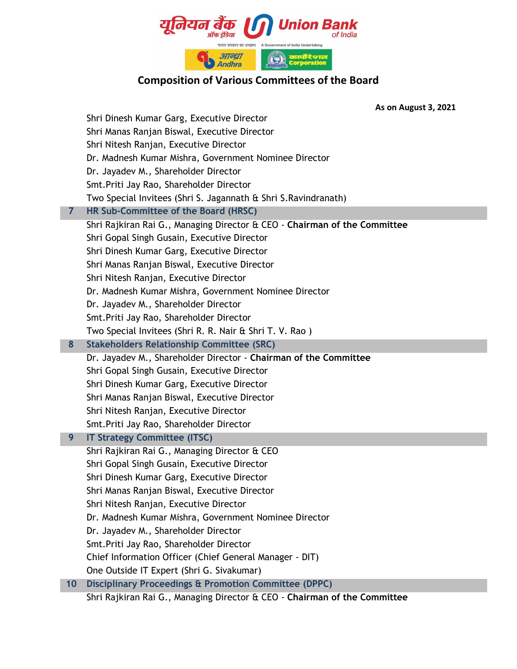

**As on August 3, 2021**

|    | Shri Dinesh Kumar Garg, Executive Director                                |
|----|---------------------------------------------------------------------------|
|    | Shri Manas Ranjan Biswal, Executive Director                              |
|    | Shri Nitesh Ranjan, Executive Director                                    |
|    | Dr. Madnesh Kumar Mishra, Government Nominee Director                     |
|    | Dr. Jayadev M., Shareholder Director                                      |
|    | Smt. Priti Jay Rao, Shareholder Director                                  |
|    | Two Special Invitees (Shri S. Jagannath & Shri S. Ravindranath)           |
| 7  | HR Sub-Committee of the Board (HRSC)                                      |
|    | Shri Rajkiran Rai G., Managing Director & CEO - Chairman of the Committee |
|    | Shri Gopal Singh Gusain, Executive Director                               |
|    | Shri Dinesh Kumar Garg, Executive Director                                |
|    | Shri Manas Ranjan Biswal, Executive Director                              |
|    | Shri Nitesh Ranjan, Executive Director                                    |
|    | Dr. Madnesh Kumar Mishra, Government Nominee Director                     |
|    | Dr. Jayadev M., Shareholder Director                                      |
|    | Smt. Priti Jay Rao, Shareholder Director                                  |
|    | Two Special Invitees (Shri R. R. Nair & Shri T. V. Rao)                   |
| 8  | <b>Stakeholders Relationship Committee (SRC)</b>                          |
|    | Dr. Jayadev M., Shareholder Director - Chairman of the Committee          |
|    | Shri Gopal Singh Gusain, Executive Director                               |
|    | Shri Dinesh Kumar Garg, Executive Director                                |
|    | Shri Manas Ranjan Biswal, Executive Director                              |
|    | Shri Nitesh Ranjan, Executive Director                                    |
|    | Smt. Priti Jay Rao, Shareholder Director                                  |
| 9  | <b>IT Strategy Committee (ITSC)</b>                                       |
|    | Shri Rajkiran Rai G., Managing Director & CEO                             |
|    | Shri Gopal Singh Gusain, Executive Director                               |
|    | Shri Dinesh Kumar Garg, Executive Director                                |
|    | Shri Manas Ranjan Biswal, Executive Director                              |
|    | Shri Nitesh Ranjan, Executive Director                                    |
|    | Dr. Madnesh Kumar Mishra, Government Nominee Director                     |
|    | Dr. Jayadev M., Shareholder Director                                      |
|    | Smt. Priti Jay Rao, Shareholder Director                                  |
|    | Chief Information Officer (Chief General Manager - DIT)                   |
|    | One Outside IT Expert (Shri G. Sivakumar)                                 |
| 10 | <b>Disciplinary Proceedings &amp; Promotion Committee (DPPC)</b>          |
|    | Shri Rajkiran Rai G., Managing Director & CEO - Chairman of the Committee |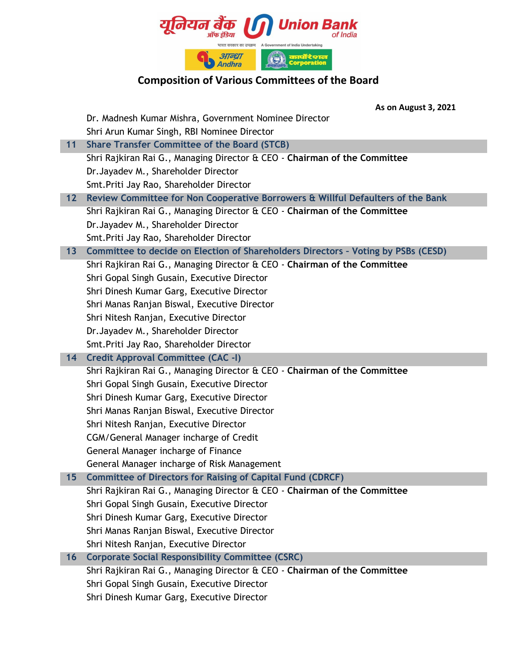

|      | <b>As on August 3, 2021</b>                                                       |
|------|-----------------------------------------------------------------------------------|
|      | Dr. Madnesh Kumar Mishra, Government Nominee Director                             |
|      | Shri Arun Kumar Singh, RBI Nominee Director                                       |
| 11   | <b>Share Transfer Committee of the Board (STCB)</b>                               |
|      | Shri Rajkiran Rai G., Managing Director & CEO - Chairman of the Committee         |
|      | Dr. Jayadev M., Shareholder Director                                              |
|      | Smt. Priti Jay Rao, Shareholder Director                                          |
| $12$ | Review Committee for Non Cooperative Borrowers & Willful Defaulters of the Bank   |
|      | Shri Rajkiran Rai G., Managing Director & CEO - Chairman of the Committee         |
|      | Dr. Jayadev M., Shareholder Director                                              |
|      | Smt. Priti Jay Rao, Shareholder Director                                          |
| 13   | Committee to decide on Election of Shareholders Directors - Voting by PSBs (CESD) |
|      | Shri Rajkiran Rai G., Managing Director & CEO - Chairman of the Committee         |
|      | Shri Gopal Singh Gusain, Executive Director                                       |
|      | Shri Dinesh Kumar Garg, Executive Director                                        |
|      | Shri Manas Ranjan Biswal, Executive Director                                      |
|      | Shri Nitesh Ranjan, Executive Director                                            |
|      | Dr. Jayadev M., Shareholder Director                                              |
|      | Smt. Priti Jay Rao, Shareholder Director                                          |
| 14   | <b>Credit Approval Committee (CAC -I)</b>                                         |
|      | Shri Rajkiran Rai G., Managing Director & CEO - Chairman of the Committee         |
|      | Shri Gopal Singh Gusain, Executive Director                                       |
|      | Shri Dinesh Kumar Garg, Executive Director                                        |
|      | Shri Manas Ranjan Biswal, Executive Director                                      |
|      | Shri Nitesh Ranjan, Executive Director                                            |
|      | CGM/General Manager incharge of Credit                                            |
|      | General Manager incharge of Finance                                               |
|      | General Manager incharge of Risk Management                                       |
| 15   | <b>Committee of Directors for Raising of Capital Fund (CDRCF)</b>                 |
|      | Shri Rajkiran Rai G., Managing Director & CEO - Chairman of the Committee         |
|      | Shri Gopal Singh Gusain, Executive Director                                       |
|      | Shri Dinesh Kumar Garg, Executive Director                                        |
|      | Shri Manas Ranjan Biswal, Executive Director                                      |
|      | Shri Nitesh Ranjan, Executive Director                                            |
| 16   | <b>Corporate Social Responsibility Committee (CSRC)</b>                           |
|      | Shri Rajkiran Rai G., Managing Director & CEO - Chairman of the Committee         |
|      | Shri Gopal Singh Gusain, Executive Director                                       |
|      | Shri Dinesh Kumar Garg, Executive Director                                        |